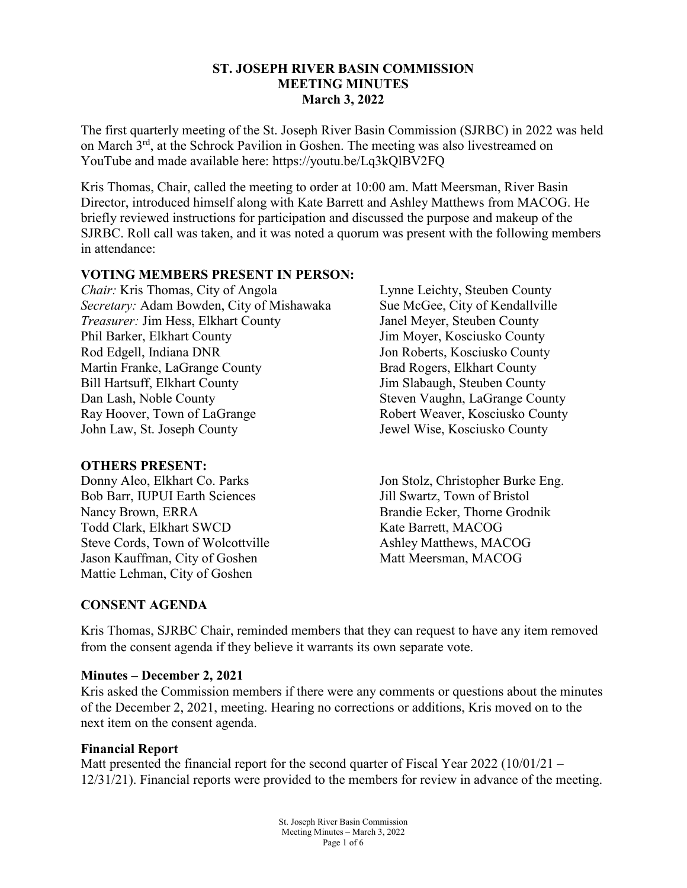### **ST. JOSEPH RIVER BASIN COMMISSION MEETING MINUTES March 3, 2022**

The first quarterly meeting of the St. Joseph River Basin Commission (SJRBC) in 2022 was held on March 3<sup>rd</sup>, at the Schrock Pavilion in Goshen. The meeting was also livestreamed on YouTube and made available here: https://youtu.be/Lq3kQlBV2FQ

Kris Thomas, Chair, called the meeting to order at 10:00 am. Matt Meersman, River Basin Director, introduced himself along with Kate Barrett and Ashley Matthews from MACOG. He briefly reviewed instructions for participation and discussed the purpose and makeup of the SJRBC. Roll call was taken, and it was noted a quorum was present with the following members in attendance:

### **VOTING MEMBERS PRESENT IN PERSON:**

*Chair:* Kris Thomas, City of Angola *Secretary:* Adam Bowden, City of Mishawaka *Treasurer:* Jim Hess, Elkhart County Phil Barker, Elkhart County Rod Edgell, Indiana DNR Martin Franke, LaGrange County Bill Hartsuff, Elkhart County Dan Lash, Noble County Ray Hoover, Town of LaGrange John Law, St. Joseph County

#### **OTHERS PRESENT:**

Donny Aleo, Elkhart Co. Parks Bob Barr, IUPUI Earth Sciences Nancy Brown, ERRA Todd Clark, Elkhart SWCD Steve Cords, Town of Wolcottville Jason Kauffman, City of Goshen Mattie Lehman, City of Goshen

Lynne Leichty, Steuben County Sue McGee, City of Kendallville Janel Meyer, Steuben County Jim Moyer, Kosciusko County Jon Roberts, Kosciusko County Brad Rogers, Elkhart County Jim Slabaugh, Steuben County Steven Vaughn, LaGrange County Robert Weaver, Kosciusko County Jewel Wise, Kosciusko County

Jon Stolz, Christopher Burke Eng. Jill Swartz, Town of Bristol Brandie Ecker, Thorne Grodnik Kate Barrett, MACOG Ashley Matthews, MACOG Matt Meersman, MACOG

## **CONSENT AGENDA**

Kris Thomas, SJRBC Chair, reminded members that they can request to have any item removed from the consent agenda if they believe it warrants its own separate vote.

#### **Minutes – December 2, 2021**

Kris asked the Commission members if there were any comments or questions about the minutes of the December 2, 2021, meeting. Hearing no corrections or additions, Kris moved on to the next item on the consent agenda.

#### **Financial Report**

Matt presented the financial report for the second quarter of Fiscal Year 2022 (10/01/21 – 12/31/21). Financial reports were provided to the members for review in advance of the meeting.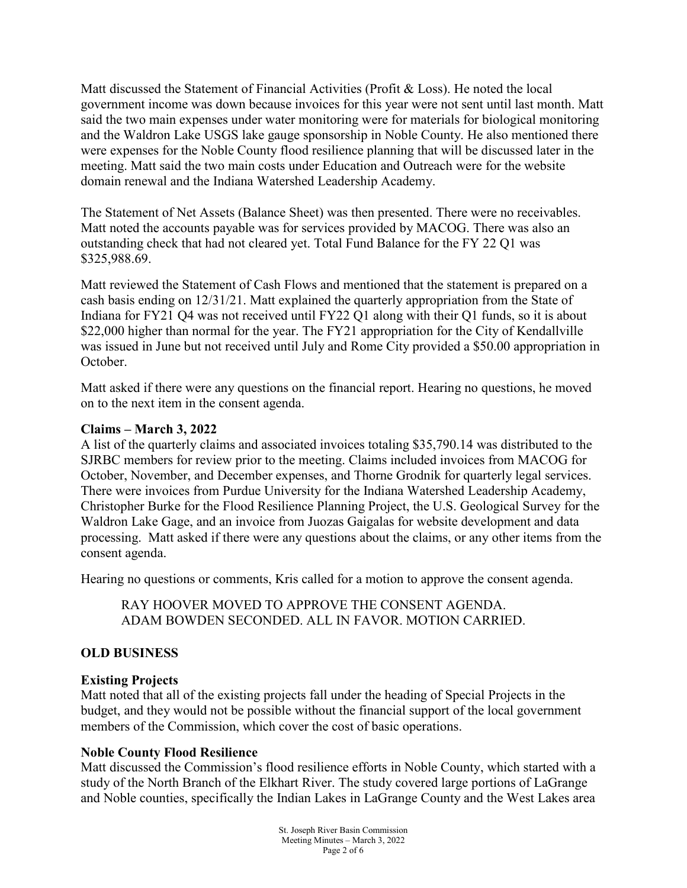Matt discussed the Statement of Financial Activities (Profit & Loss). He noted the local government income was down because invoices for this year were not sent until last month. Matt said the two main expenses under water monitoring were for materials for biological monitoring and the Waldron Lake USGS lake gauge sponsorship in Noble County. He also mentioned there were expenses for the Noble County flood resilience planning that will be discussed later in the meeting. Matt said the two main costs under Education and Outreach were for the website domain renewal and the Indiana Watershed Leadership Academy.

The Statement of Net Assets (Balance Sheet) was then presented. There were no receivables. Matt noted the accounts payable was for services provided by MACOG. There was also an outstanding check that had not cleared yet. Total Fund Balance for the FY 22 Q1 was \$325,988.69.

Matt reviewed the Statement of Cash Flows and mentioned that the statement is prepared on a cash basis ending on 12/31/21. Matt explained the quarterly appropriation from the State of Indiana for FY21 Q4 was not received until FY22 Q1 along with their Q1 funds, so it is about \$22,000 higher than normal for the year. The FY21 appropriation for the City of Kendallville was issued in June but not received until July and Rome City provided a \$50.00 appropriation in October.

Matt asked if there were any questions on the financial report. Hearing no questions, he moved on to the next item in the consent agenda.

### **Claims – March 3, 2022**

A list of the quarterly claims and associated invoices totaling \$35,790.14 was distributed to the SJRBC members for review prior to the meeting. Claims included invoices from MACOG for October, November, and December expenses, and Thorne Grodnik for quarterly legal services. There were invoices from Purdue University for the Indiana Watershed Leadership Academy, Christopher Burke for the Flood Resilience Planning Project, the U.S. Geological Survey for the Waldron Lake Gage, and an invoice from Juozas Gaigalas for website development and data processing. Matt asked if there were any questions about the claims, or any other items from the consent agenda.

Hearing no questions or comments, Kris called for a motion to approve the consent agenda.

RAY HOOVER MOVED TO APPROVE THE CONSENT AGENDA. ADAM BOWDEN SECONDED. ALL IN FAVOR. MOTION CARRIED.

## **OLD BUSINESS**

## **Existing Projects**

Matt noted that all of the existing projects fall under the heading of Special Projects in the budget, and they would not be possible without the financial support of the local government members of the Commission, which cover the cost of basic operations.

## **Noble County Flood Resilience**

Matt discussed the Commission's flood resilience efforts in Noble County, which started with a study of the North Branch of the Elkhart River. The study covered large portions of LaGrange and Noble counties, specifically the Indian Lakes in LaGrange County and the West Lakes area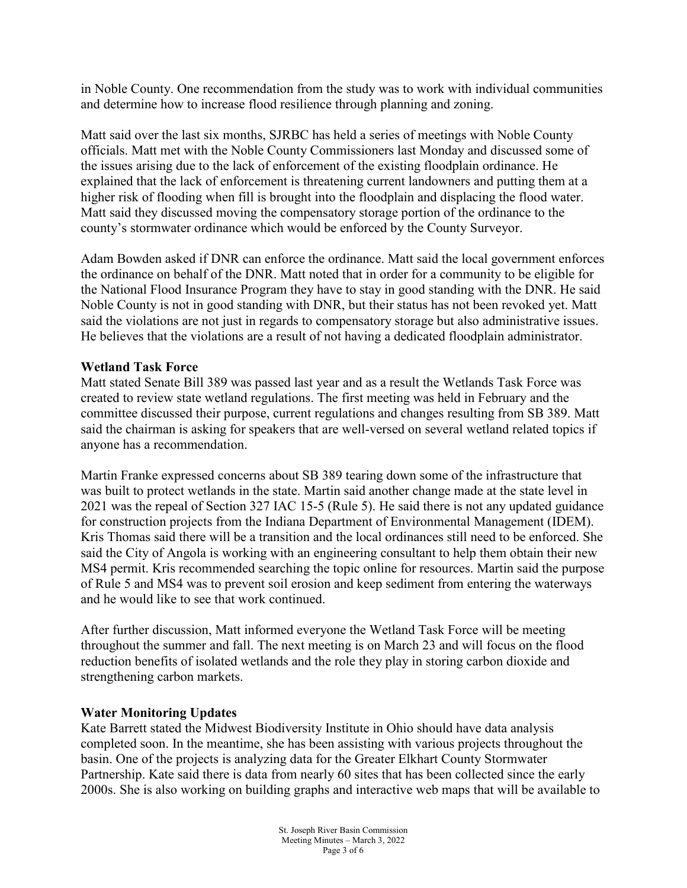in Noble County. One recommendation from the study was to work with individual communities and determine how to increase flood resilience through planning and zoning.

Matt said over the last six months, SJRBC has held a series of meetings with Noble County officials. Matt met with the Noble County Commissioners last Monday and discussed some of the issues arising due to the lack of enforcement of the existing floodplain ordinance. He explained that the lack of enforcement is threatening current landowners and putting them at a higher risk of flooding when fill is brought into the floodplain and displacing the flood water. Matt said they discussed moving the compensatory storage portion of the ordinance to the county's stormwater ordinance which would be enforced by the County Surveyor.

Adam Bowden asked if DNR can enforce the ordinance. Matt said the local government enforces the ordinance on behalf of the DNR. Matt noted that in order for a community to be eligible for the National Flood Insurance Program they have to stay in good standing with the DNR. He said Noble County is not in good standing with DNR, but their status has not been revoked yet. Matt said the violations are not just in regards to compensatory storage but also administrative issues. He believes that the violations are a result of not having a dedicated floodplain administrator.

### **Wetland Task Force**

Matt stated Senate Bill 389 was passed last year and as a result the Wetlands Task Force was created to review state wetland regulations. The first meeting was held in February and the committee discussed their purpose, current regulations and changes resulting from SB 389. Matt said the chairman is asking for speakers that are well-versed on several wetland related topics if anyone has a recommendation.

Martin Franke expressed concerns about SB 389 tearing down some of the infrastructure that was built to protect wetlands in the state. Martin said another change made at the state level in 2021 was the repeal of Section 327 IAC 15-5 (Rule 5). He said there is not any updated guidance for construction projects from the Indiana Department of Environmental Management (IDEM). Kris Thomas said there will be a transition and the local ordinances still need to be enforced. She said the City of Angola is working with an engineering consultant to help them obtain their new MS4 permit. Kris recommended searching the topic online for resources. Martin said the purpose of Rule 5 and MS4 was to prevent soil erosion and keep sediment from entering the waterways and he would like to see that work continued.

After further discussion, Matt informed everyone the Wetland Task Force will be meeting throughout the summer and fall. The next meeting is on March 23 and will focus on the flood reduction benefits of isolated wetlands and the role they play in storing carbon dioxide and strengthening carbon markets.

#### **Water Monitoring Updates**

Kate Barrett stated the Midwest Biodiversity Institute in Ohio should have data analysis completed soon. In the meantime, she has been assisting with various projects throughout the basin. One of the projects is analyzing data for the Greater Elkhart County Stormwater Partnership. Kate said there is data from nearly 60 sites that has been collected since the early 2000s. She is also working on building graphs and interactive web maps that will be available to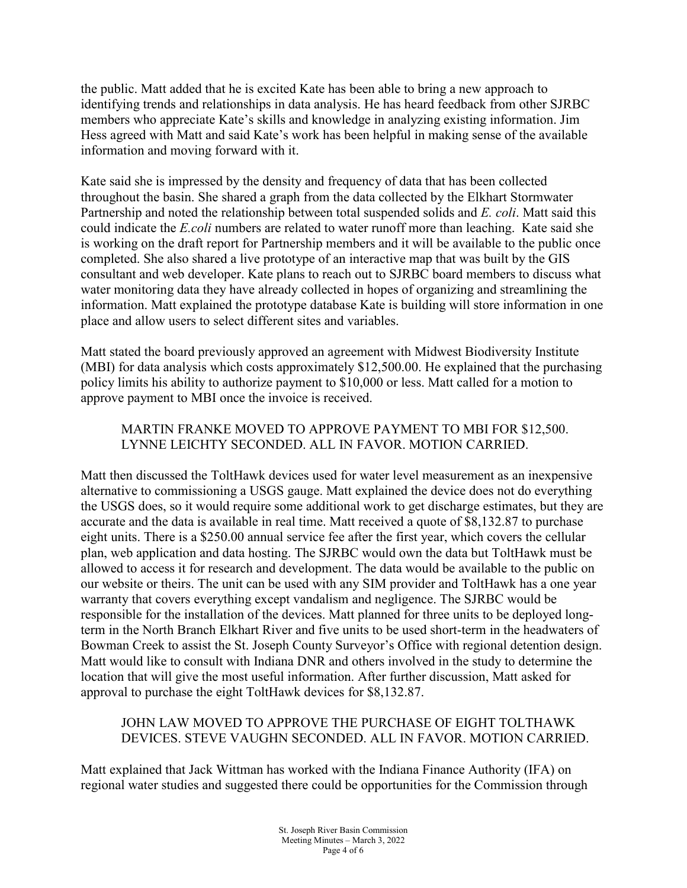the public. Matt added that he is excited Kate has been able to bring a new approach to identifying trends and relationships in data analysis. He has heard feedback from other SJRBC members who appreciate Kate's skills and knowledge in analyzing existing information. Jim Hess agreed with Matt and said Kate's work has been helpful in making sense of the available information and moving forward with it.

Kate said she is impressed by the density and frequency of data that has been collected throughout the basin. She shared a graph from the data collected by the Elkhart Stormwater Partnership and noted the relationship between total suspended solids and *E. coli*. Matt said this could indicate the *E.coli* numbers are related to water runoff more than leaching. Kate said she is working on the draft report for Partnership members and it will be available to the public once completed. She also shared a live prototype of an interactive map that was built by the GIS consultant and web developer. Kate plans to reach out to SJRBC board members to discuss what water monitoring data they have already collected in hopes of organizing and streamlining the information. Matt explained the prototype database Kate is building will store information in one place and allow users to select different sites and variables.

Matt stated the board previously approved an agreement with Midwest Biodiversity Institute (MBI) for data analysis which costs approximately \$12,500.00. He explained that the purchasing policy limits his ability to authorize payment to \$10,000 or less. Matt called for a motion to approve payment to MBI once the invoice is received.

# MARTIN FRANKE MOVED TO APPROVE PAYMENT TO MBI FOR \$12,500. LYNNE LEICHTY SECONDED. ALL IN FAVOR. MOTION CARRIED.

Matt then discussed the ToltHawk devices used for water level measurement as an inexpensive alternative to commissioning a USGS gauge. Matt explained the device does not do everything the USGS does, so it would require some additional work to get discharge estimates, but they are accurate and the data is available in real time. Matt received a quote of \$8,132.87 to purchase eight units. There is a \$250.00 annual service fee after the first year, which covers the cellular plan, web application and data hosting. The SJRBC would own the data but ToltHawk must be allowed to access it for research and development. The data would be available to the public on our website or theirs. The unit can be used with any SIM provider and ToltHawk has a one year warranty that covers everything except vandalism and negligence. The SJRBC would be responsible for the installation of the devices. Matt planned for three units to be deployed longterm in the North Branch Elkhart River and five units to be used short-term in the headwaters of Bowman Creek to assist the St. Joseph County Surveyor's Office with regional detention design. Matt would like to consult with Indiana DNR and others involved in the study to determine the location that will give the most useful information. After further discussion, Matt asked for approval to purchase the eight ToltHawk devices for \$8,132.87.

## JOHN LAW MOVED TO APPROVE THE PURCHASE OF EIGHT TOLTHAWK DEVICES. STEVE VAUGHN SECONDED. ALL IN FAVOR. MOTION CARRIED.

Matt explained that Jack Wittman has worked with the Indiana Finance Authority (IFA) on regional water studies and suggested there could be opportunities for the Commission through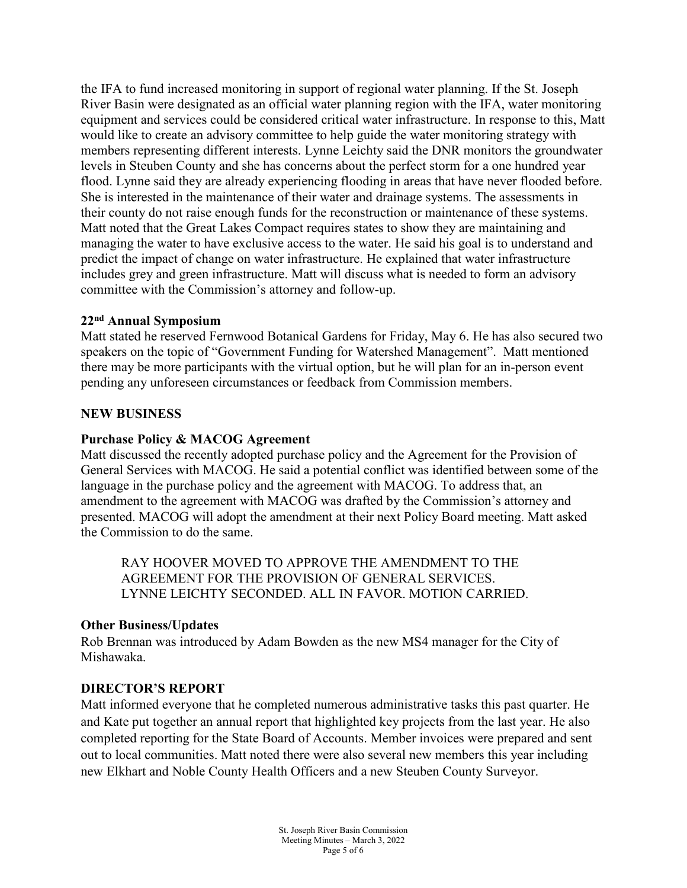the IFA to fund increased monitoring in support of regional water planning. If the St. Joseph River Basin were designated as an official water planning region with the IFA, water monitoring equipment and services could be considered critical water infrastructure. In response to this, Matt would like to create an advisory committee to help guide the water monitoring strategy with members representing different interests. Lynne Leichty said the DNR monitors the groundwater levels in Steuben County and she has concerns about the perfect storm for a one hundred year flood. Lynne said they are already experiencing flooding in areas that have never flooded before. She is interested in the maintenance of their water and drainage systems. The assessments in their county do not raise enough funds for the reconstruction or maintenance of these systems. Matt noted that the Great Lakes Compact requires states to show they are maintaining and managing the water to have exclusive access to the water. He said his goal is to understand and predict the impact of change on water infrastructure. He explained that water infrastructure includes grey and green infrastructure. Matt will discuss what is needed to form an advisory committee with the Commission's attorney and follow-up.

### **22nd Annual Symposium**

Matt stated he reserved Fernwood Botanical Gardens for Friday, May 6. He has also secured two speakers on the topic of "Government Funding for Watershed Management". Matt mentioned there may be more participants with the virtual option, but he will plan for an in-person event pending any unforeseen circumstances or feedback from Commission members.

### **NEW BUSINESS**

### **Purchase Policy & MACOG Agreement**

Matt discussed the recently adopted purchase policy and the Agreement for the Provision of General Services with MACOG. He said a potential conflict was identified between some of the language in the purchase policy and the agreement with MACOG. To address that, an amendment to the agreement with MACOG was drafted by the Commission's attorney and presented. MACOG will adopt the amendment at their next Policy Board meeting. Matt asked the Commission to do the same.

RAY HOOVER MOVED TO APPROVE THE AMENDMENT TO THE AGREEMENT FOR THE PROVISION OF GENERAL SERVICES. LYNNE LEICHTY SECONDED. ALL IN FAVOR. MOTION CARRIED.

#### **Other Business/Updates**

Rob Brennan was introduced by Adam Bowden as the new MS4 manager for the City of Mishawaka.

#### **DIRECTOR'S REPORT**

Matt informed everyone that he completed numerous administrative tasks this past quarter. He and Kate put together an annual report that highlighted key projects from the last year. He also completed reporting for the State Board of Accounts. Member invoices were prepared and sent out to local communities. Matt noted there were also several new members this year including new Elkhart and Noble County Health Officers and a new Steuben County Surveyor.